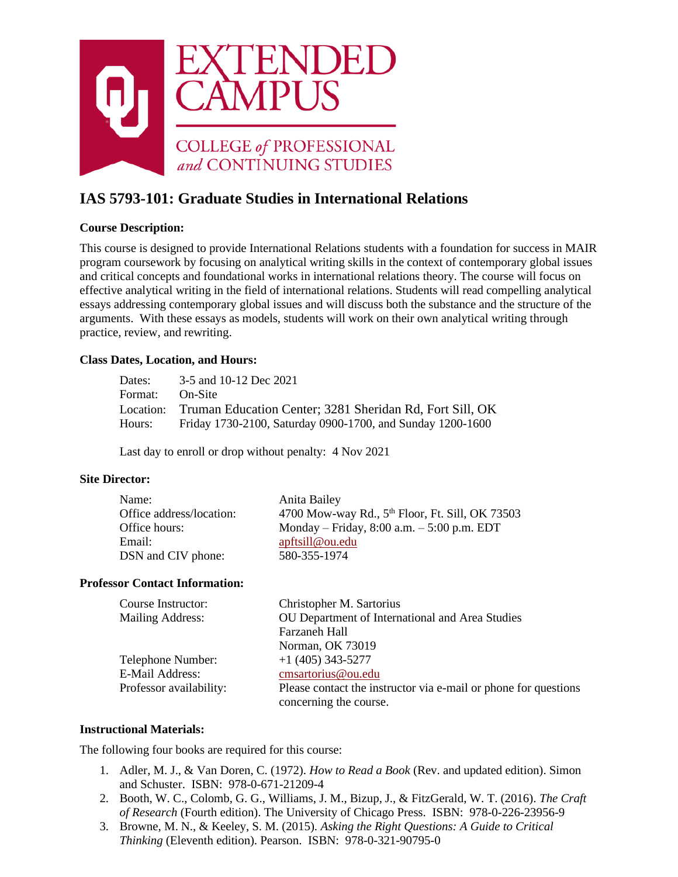

# **IAS 5793-101: Graduate Studies in International Relations**

# **Course Description:**

This course is designed to provide International Relations students with a foundation for success in MAIR program coursework by focusing on analytical writing skills in the context of contemporary global issues and critical concepts and foundational works in international relations theory. The course will focus on effective analytical writing in the field of international relations. Students will read compelling analytical essays addressing contemporary global issues and will discuss both the substance and the structure of the arguments. With these essays as models, students will work on their own analytical writing through practice, review, and rewriting.

### **Class Dates, Location, and Hours:**

| Dates:  | 3-5 and 10-12 Dec 2021                                             |
|---------|--------------------------------------------------------------------|
| Format: | <b>On-Site</b>                                                     |
|         | Location: Truman Education Center; 3281 Sheridan Rd, Fort Sill, OK |
| Hours:  | Friday 1730-2100, Saturday 0900-1700, and Sunday 1200-1600         |

Last day to enroll or drop without penalty: 4 Nov 2021

### **Site Director:**

| Name:                    | Anita Bailey                                                |
|--------------------------|-------------------------------------------------------------|
| Office address/location: | 4700 Mow-way Rd., 5 <sup>th</sup> Floor, Ft. Sill, OK 73503 |
| Office hours:            | Monday – Friday, $8:00$ a.m. – $5:00$ p.m. EDT              |
| Email:                   | apftsill@ou.edu                                             |
| DSN and CIV phone:       | 580-355-1974                                                |

#### **Professor Contact Information:**

| Course Instructor:      | Christopher M. Sartorius                                                                  |
|-------------------------|-------------------------------------------------------------------------------------------|
| Mailing Address:        | OU Department of International and Area Studies                                           |
|                         | Farzaneh Hall                                                                             |
|                         | Norman, OK 73019                                                                          |
| Telephone Number:       | $+1$ (405) 343-5277                                                                       |
| E-Mail Address:         | cmsartorius@ou.edu                                                                        |
| Professor availability: | Please contact the instructor via e-mail or phone for questions<br>concerning the course. |

### **Instructional Materials:**

The following four books are required for this course:

- 1. Adler, M. J., & Van Doren, C. (1972). *How to Read a Book* (Rev. and updated edition). Simon and Schuster. ISBN: 978-0-671-21209-4
- 2. Booth, W. C., Colomb, G. G., Williams, J. M., Bizup, J., & FitzGerald, W. T. (2016). *The Craft of Research* (Fourth edition). The University of Chicago Press. ISBN: 978-0-226-23956-9
- 3. Browne, M. N., & Keeley, S. M. (2015). *Asking the Right Questions: A Guide to Critical Thinking* (Eleventh edition). Pearson. ISBN: 978-0-321-90795-0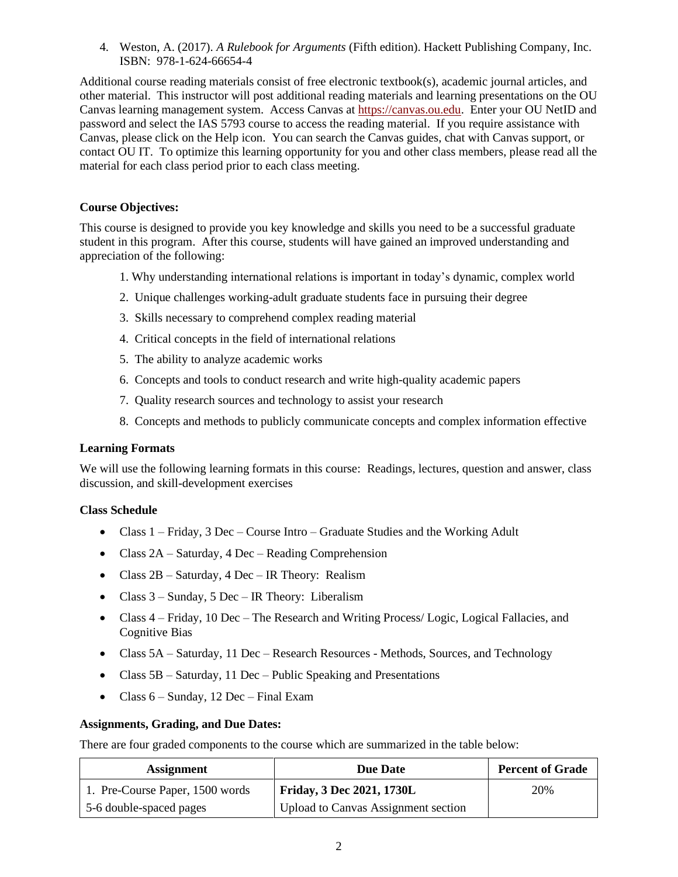4. Weston, A. (2017). *A Rulebook for Arguments* (Fifth edition). Hackett Publishing Company, Inc. ISBN: 978-1-624-66654-4

Additional course reading materials consist of free electronic textbook(s), academic journal articles, and other material. This instructor will post additional reading materials and learning presentations on the OU Canvas learning management system. Access Canvas at [https://canvas.ou.edu.](https://canvas.ou.edu/) Enter your OU NetID and password and select the IAS 5793 course to access the reading material. If you require assistance with Canvas, please click on the Help icon. You can search the Canvas guides, chat with Canvas support, or contact OU IT. To optimize this learning opportunity for you and other class members, please read all the material for each class period prior to each class meeting.

# **Course Objectives:**

This course is designed to provide you key knowledge and skills you need to be a successful graduate student in this program. After this course, students will have gained an improved understanding and appreciation of the following:

- 1. Why understanding international relations is important in today's dynamic, complex world
- 2. Unique challenges working-adult graduate students face in pursuing their degree
- 3. Skills necessary to comprehend complex reading material
- 4. Critical concepts in the field of international relations
- 5. The ability to analyze academic works
- 6. Concepts and tools to conduct research and write high-quality academic papers
- 7. Quality research sources and technology to assist your research
- 8. Concepts and methods to publicly communicate concepts and complex information effective

### **Learning Formats**

We will use the following learning formats in this course: Readings, lectures, question and answer, class discussion, and skill-development exercises

### **Class Schedule**

- Class  $1 -$  Friday, 3 Dec Course Intro Graduate Studies and the Working Adult
- Class 2A Saturday, 4 Dec Reading Comprehension
- Class 2B Saturday, 4 Dec IR Theory: Realism
- Class 3 Sunday, 5 Dec IR Theory: Liberalism
- Class  $4$  Friday, 10 Dec The Research and Writing Process/ Logic, Logical Fallacies, and Cognitive Bias
- Class  $5A Saturday$ , 11 Dec Research Resources Methods, Sources, and Technology
- Class 5B Saturday, 11 Dec Public Speaking and Presentations
- Class 6 Sunday, 12 Dec Final Exam

### **Assignments, Grading, and Due Dates:**

There are four graded components to the course which are summarized in the table below:

| <b>Assignment</b>               | <b>Due Date</b>                            | <b>Percent of Grade</b> |
|---------------------------------|--------------------------------------------|-------------------------|
| 1. Pre-Course Paper, 1500 words | <b>Friday, 3 Dec 2021, 1730L</b>           | 20%                     |
| 5-6 double-spaced pages         | <b>Upload to Canvas Assignment section</b> |                         |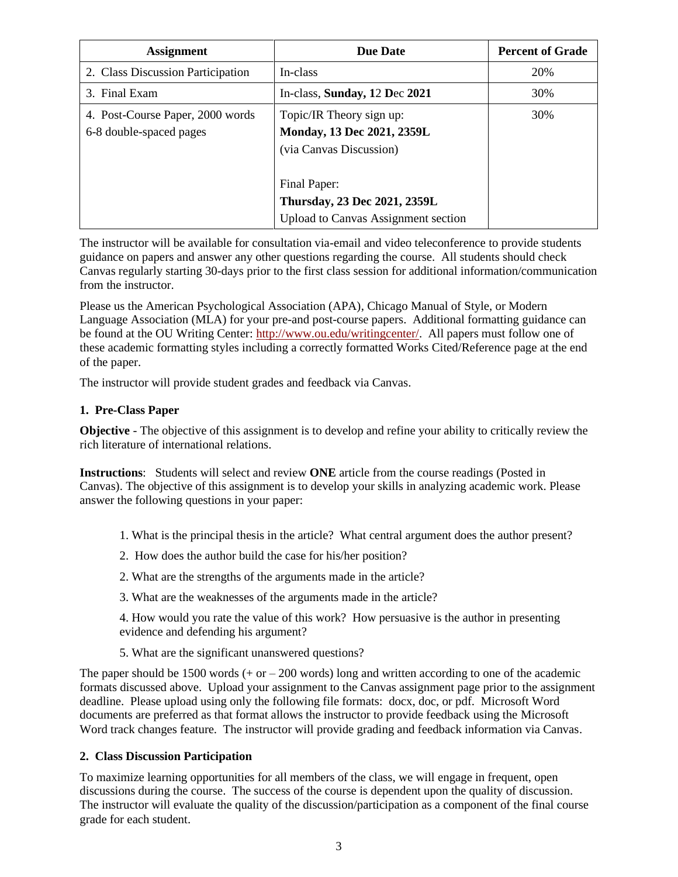| <b>Assignment</b>                                           | <b>Due Date</b>                                                                            | <b>Percent of Grade</b> |
|-------------------------------------------------------------|--------------------------------------------------------------------------------------------|-------------------------|
| 2. Class Discussion Participation                           | In-class                                                                                   | 20%                     |
| 3. Final Exam                                               | In-class, Sunday, 12 Dec 2021                                                              | 30%                     |
| 4. Post-Course Paper, 2000 words<br>6-8 double-spaced pages | Topic/IR Theory sign up:<br>Monday, 13 Dec 2021, 2359L<br>(via Canvas Discussion)          | 30%                     |
|                                                             | Final Paper:<br>Thursday, 23 Dec 2021, 2359L<br><b>Upload to Canvas Assignment section</b> |                         |

The instructor will be available for consultation via-email and video teleconference to provide students guidance on papers and answer any other questions regarding the course. All students should check Canvas regularly starting 30-days prior to the first class session for additional information/communication from the instructor.

Please us the American Psychological Association (APA), Chicago Manual of Style, or Modern Language Association (MLA) for your pre-and post-course papers. Additional formatting guidance can be found at the OU Writing Center: [http://www.ou.edu/writingcenter/.](http://www.ou.edu/writingcenter/) All papers must follow one of these academic formatting styles including a correctly formatted Works Cited/Reference page at the end of the paper.

The instructor will provide student grades and feedback via Canvas.

### **1. Pre-Class Paper**

**Objective** - The objective of this assignment is to develop and refine your ability to critically review the rich literature of international relations.

**Instructions**: Students will select and review **ONE** article from the course readings (Posted in Canvas). The objective of this assignment is to develop your skills in analyzing academic work. Please answer the following questions in your paper:

- 1. What is the principal thesis in the article? What central argument does the author present?
- 2. How does the author build the case for his/her position?
- 2. What are the strengths of the arguments made in the article?
- 3. What are the weaknesses of the arguments made in the article?

4. How would you rate the value of this work? How persuasive is the author in presenting evidence and defending his argument?

5. What are the significant unanswered questions?

The paper should be 1500 words  $(+ or -200$  words) long and written according to one of the academic formats discussed above. Upload your assignment to the Canvas assignment page prior to the assignment deadline. Please upload using only the following file formats: docx, doc, or pdf. Microsoft Word documents are preferred as that format allows the instructor to provide feedback using the Microsoft Word track changes feature. The instructor will provide grading and feedback information via Canvas.

#### **2. Class Discussion Participation**

To maximize learning opportunities for all members of the class, we will engage in frequent, open discussions during the course. The success of the course is dependent upon the quality of discussion. The instructor will evaluate the quality of the discussion/participation as a component of the final course grade for each student.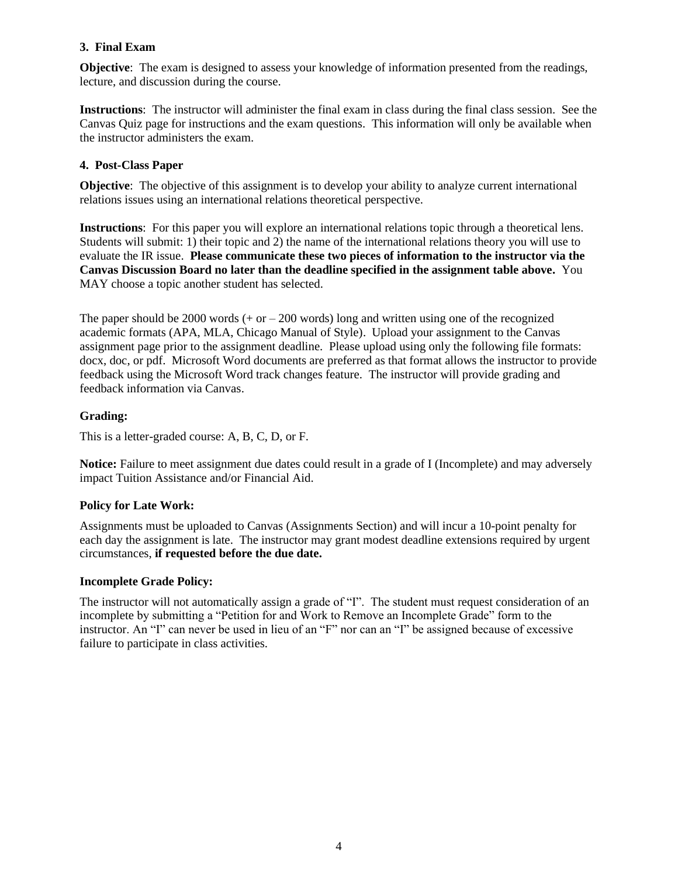# **3. Final Exam**

**Objective:** The exam is designed to assess your knowledge of information presented from the readings, lecture, and discussion during the course.

**Instructions**: The instructor will administer the final exam in class during the final class session. See the Canvas Quiz page for instructions and the exam questions. This information will only be available when the instructor administers the exam.

# **4. Post-Class Paper**

**Objective:** The objective of this assignment is to develop your ability to analyze current international relations issues using an international relations theoretical perspective.

**Instructions**: For this paper you will explore an international relations topic through a theoretical lens. Students will submit: 1) their topic and 2) the name of the international relations theory you will use to evaluate the IR issue. **Please communicate these two pieces of information to the instructor via the Canvas Discussion Board no later than the deadline specified in the assignment table above.** You MAY choose a topic another student has selected.

The paper should be 2000 words  $(+ or -200$  words) long and written using one of the recognized academic formats (APA, MLA, Chicago Manual of Style). Upload your assignment to the Canvas assignment page prior to the assignment deadline. Please upload using only the following file formats: docx, doc, or pdf. Microsoft Word documents are preferred as that format allows the instructor to provide feedback using the Microsoft Word track changes feature. The instructor will provide grading and feedback information via Canvas.

# **Grading:**

This is a letter-graded course: A, B, C, D, or F.

**Notice:** Failure to meet assignment due dates could result in a grade of I (Incomplete) and may adversely impact Tuition Assistance and/or Financial Aid.

# **Policy for Late Work:**

Assignments must be uploaded to Canvas (Assignments Section) and will incur a 10-point penalty for each day the assignment is late. The instructor may grant modest deadline extensions required by urgent circumstances, **if requested before the due date.**

### **Incomplete Grade Policy:**

The instructor will not automatically assign a grade of "I". The student must request consideration of an incomplete by submitting a "Petition for and Work to Remove an Incomplete Grade" form to the instructor. An "I" can never be used in lieu of an "F" nor can an "I" be assigned because of excessive failure to participate in class activities.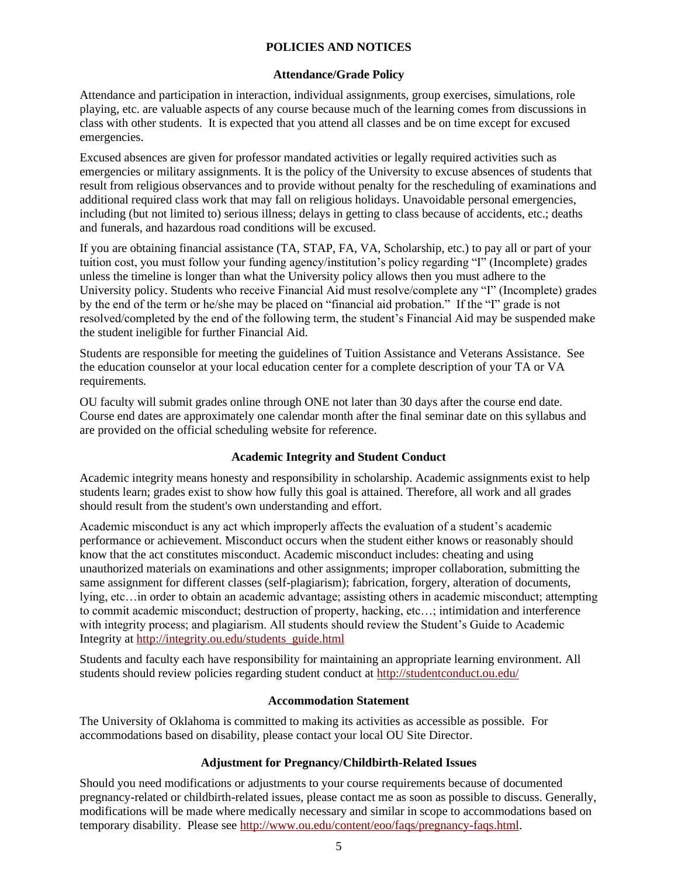## **POLICIES AND NOTICES**

#### **Attendance/Grade Policy**

Attendance and participation in interaction, individual assignments, group exercises, simulations, role playing, etc. are valuable aspects of any course because much of the learning comes from discussions in class with other students. It is expected that you attend all classes and be on time except for excused emergencies.

Excused absences are given for professor mandated activities or legally required activities such as emergencies or military assignments. It is the policy of the University to excuse absences of students that result from religious observances and to provide without penalty for the rescheduling of examinations and additional required class work that may fall on religious holidays. Unavoidable personal emergencies, including (but not limited to) serious illness; delays in getting to class because of accidents, etc.; deaths and funerals, and hazardous road conditions will be excused.

If you are obtaining financial assistance (TA, STAP, FA, VA, Scholarship, etc.) to pay all or part of your tuition cost, you must follow your funding agency/institution's policy regarding "I" (Incomplete) grades unless the timeline is longer than what the University policy allows then you must adhere to the University policy. Students who receive Financial Aid must resolve/complete any "I" (Incomplete) grades by the end of the term or he/she may be placed on "financial aid probation." If the "I" grade is not resolved/completed by the end of the following term, the student's Financial Aid may be suspended make the student ineligible for further Financial Aid.

Students are responsible for meeting the guidelines of Tuition Assistance and Veterans Assistance. See the education counselor at your local education center for a complete description of your TA or VA requirements.

OU faculty will submit grades online through ONE not later than 30 days after the course end date. Course end dates are approximately one calendar month after the final seminar date on this syllabus and are provided on the official scheduling website for reference.

### **Academic Integrity and Student Conduct**

Academic integrity means honesty and responsibility in scholarship. Academic assignments exist to help students learn; grades exist to show how fully this goal is attained. Therefore, all work and all grades should result from the student's own understanding and effort.

Academic misconduct is any act which improperly affects the evaluation of a student's academic performance or achievement. Misconduct occurs when the student either knows or reasonably should know that the act constitutes misconduct. Academic misconduct includes: cheating and using unauthorized materials on examinations and other assignments; improper collaboration, submitting the same assignment for different classes (self-plagiarism); fabrication, forgery, alteration of documents, lying, etc…in order to obtain an academic advantage; assisting others in academic misconduct; attempting to commit academic misconduct; destruction of property, hacking, etc…; intimidation and interference with integrity process; and plagiarism. All students should review the Student's Guide to Academic Integrity at [http://integrity.ou.edu/students\\_guide.html](http://integrity.ou.edu/students_guide.html)

Students and faculty each have responsibility for maintaining an appropriate learning environment. All students should review policies regarding student conduct at<http://studentconduct.ou.edu/>

### **Accommodation Statement**

The University of Oklahoma is committed to making its activities as accessible as possible. For accommodations based on disability, please contact your local OU Site Director.

### **Adjustment for Pregnancy/Childbirth-Related Issues**

Should you need modifications or adjustments to your course requirements because of documented pregnancy-related or childbirth-related issues, please contact me as soon as possible to discuss. Generally, modifications will be made where medically necessary and similar in scope to accommodations based on temporary disability. Please see [http://www.ou.edu/content/eoo/faqs/pregnancy-faqs.html.](http://www.ou.edu/content/eoo/faqs/pregnancy-faqs.html)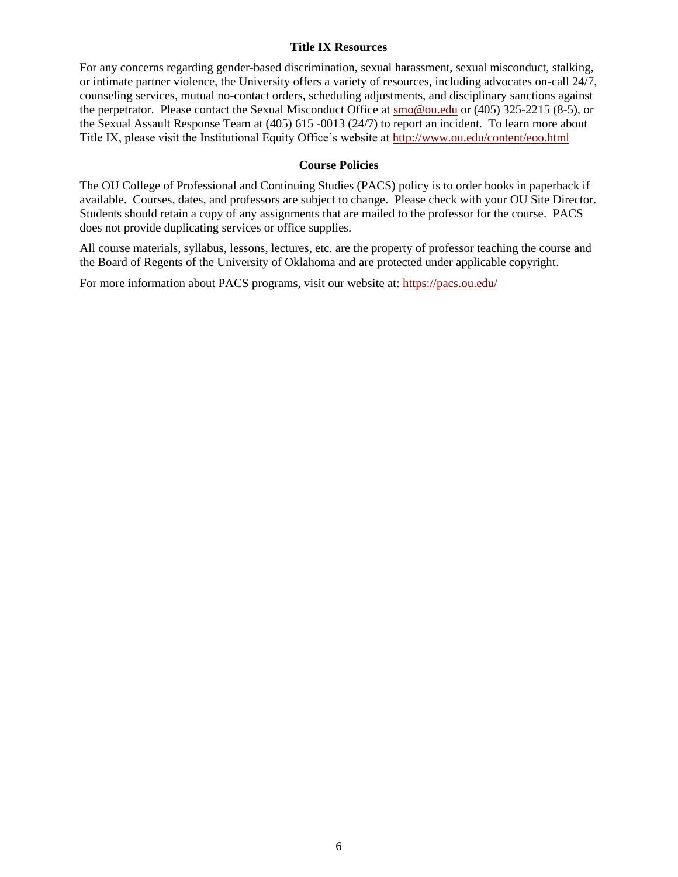#### **Title IX Resources**

For any concerns regarding gender-based discrimination, sexual harassment, sexual misconduct, stalking, or intimate partner violence, the University offers a variety of resources, including advocates on-call 24/7, counseling services, mutual no-contact orders, scheduling adjustments, and disciplinary sanctions against the perpetrator. Please contact the Sexual Misconduct Office at [smo@ou.edu](mailto:smo@ou.edu) or (405) 325-2215 (8-5), or the Sexual Assault Response Team at (405) 615 -0013 (24/7) to report an incident. To learn more about Title IX, please visit the Institutional Equity Office's website at<http://www.ou.edu/content/eoo.html>

## **Course Policies**

The OU College of Professional and Continuing Studies (PACS) policy is to order books in paperback if available. Courses, dates, and professors are subject to change. Please check with your OU Site Director. Students should retain a copy of any assignments that are mailed to the professor for the course. PACS does not provide duplicating services or office supplies.

All course materials, syllabus, lessons, lectures, etc. are the property of professor teaching the course and the Board of Regents of the University of Oklahoma and are protected under applicable copyright.

For more information about PACS programs, visit our website at:<https://pacs.ou.edu/>